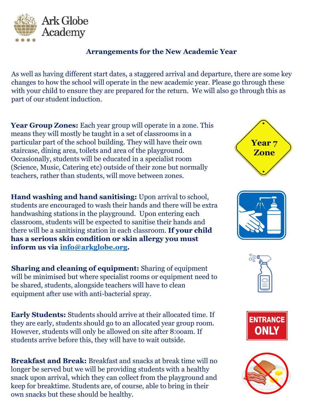

## **Arrangements for the New Academic Year**

As well as having different start dates, a staggered arrival and departure, there are some key changes to how the school will operate in the new academic year. Please go through these with your child to ensure they are prepared for the return. We will also go through this as part of our student induction.

Year Group Zones: Each year group will operate in a zone. This means they will mostly be taught in a set of classrooms in a particular part of the school building. They will have their own staircase, dining area, toilets and area of the playground. Occasionally, students will be educated in a specialist room (Science, Music, Catering etc) outside of their zone but normally teachers, rather than students, will move between zones.

**Hand washing and hand sanitising:** Upon arrival to school, students are encouraged to wash their hands and there will be extra handwashing stations in the playground. Upon entering each classroom, students will be expected to sanitise their hands and there will be a sanitising station in each classroom. **If your child has a serious skin condition or skin allergy you must inform us via [info@arkglobe.org](mailto:info@arkglobe.org).** 

**Sharing and cleaning of equipment:** Sharing of equipment will be minimised but where specialist rooms or equipment need to be shared, students, alongside teachers will have to clean equipment after use with anti-bacterial spray.

**Early Students:** Students should arrive at their allocated time. If they are early, students should go to an allocated year group room. However, students will only be allowed on site after 8:ooam. If students arrive before this, they will have to wait outside.

**Breakfast and Break:** Breakfast and snacks at break time will no longer be served but we will be providing students with a healthy snack upon arrival, which they can collect from the playground and keep for breaktime. Students are, of course, able to bring in their own snacks but these should be healthy.